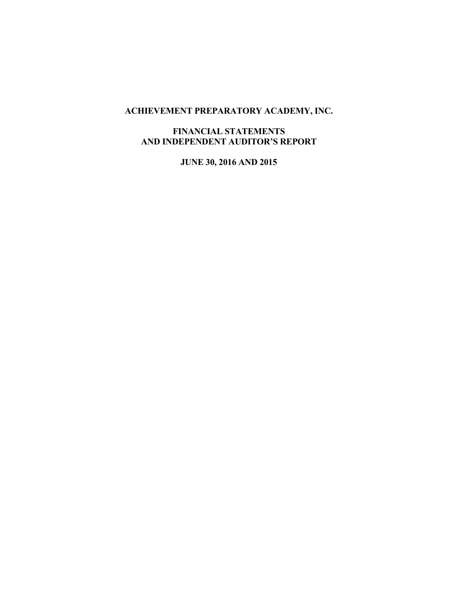# **ACHIEVEMENT PREPARATORY ACADEMY, INC.**

# **FINANCIAL STATEMENTS AND INDEPENDENT AUDITOR'S REPORT**

**JUNE 30, 2016 AND 2015**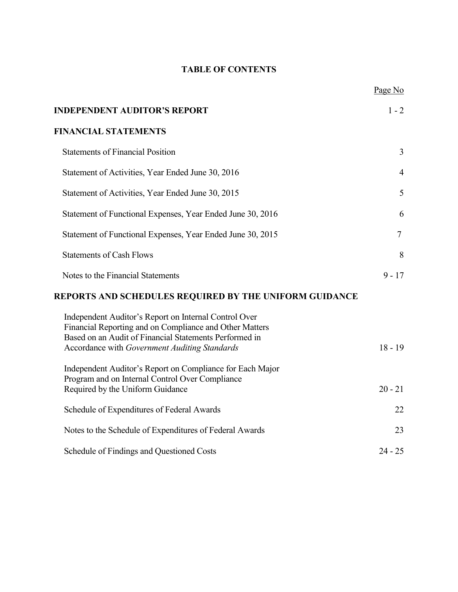# **TABLE OF CONTENTS**

|                                                                                                                                                                                                                             | Page No   |
|-----------------------------------------------------------------------------------------------------------------------------------------------------------------------------------------------------------------------------|-----------|
| <b>INDEPENDENT AUDITOR'S REPORT</b>                                                                                                                                                                                         | $1 - 2$   |
| <b>FINANCIAL STATEMENTS</b>                                                                                                                                                                                                 |           |
| <b>Statements of Financial Position</b>                                                                                                                                                                                     | 3         |
| Statement of Activities, Year Ended June 30, 2016                                                                                                                                                                           | 4         |
| Statement of Activities, Year Ended June 30, 2015                                                                                                                                                                           | 5         |
| Statement of Functional Expenses, Year Ended June 30, 2016                                                                                                                                                                  | 6         |
| Statement of Functional Expenses, Year Ended June 30, 2015                                                                                                                                                                  | $\tau$    |
| <b>Statements of Cash Flows</b>                                                                                                                                                                                             | 8         |
| Notes to the Financial Statements                                                                                                                                                                                           | $9 - 17$  |
| REPORTS AND SCHEDULES REQUIRED BY THE UNIFORM GUIDANCE                                                                                                                                                                      |           |
| Independent Auditor's Report on Internal Control Over<br>Financial Reporting and on Compliance and Other Matters<br>Based on an Audit of Financial Statements Performed in<br>Accordance with Government Auditing Standards | $18 - 19$ |
| Independent Auditor's Report on Compliance for Each Major<br>Program and on Internal Control Over Compliance<br>Required by the Uniform Guidance                                                                            | $20 - 21$ |
| Schedule of Expenditures of Federal Awards                                                                                                                                                                                  | 22        |
| Notes to the Schedule of Expenditures of Federal Awards                                                                                                                                                                     | 23        |
| Schedule of Findings and Questioned Costs                                                                                                                                                                                   | $24 - 25$ |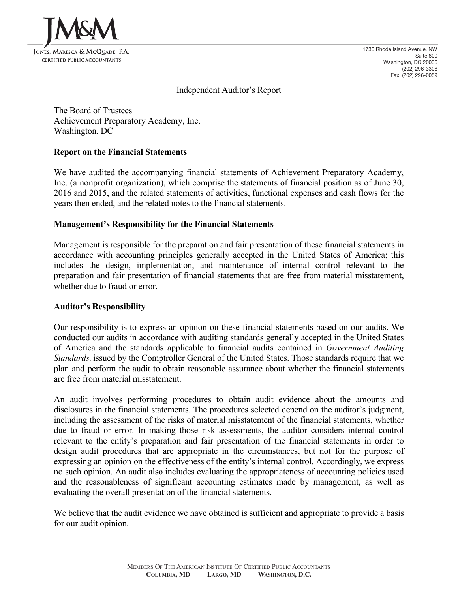

1730 Rhode Island Avenue, NW Suite 800 Washington, DC 20036 (202) 296-3306 Fax: (202) 296-0059

# Independent Auditor's Report

The Board of Trustees Achievement Preparatory Academy, Inc. Washington, DC

# **Report on the Financial Statements**

We have audited the accompanying financial statements of Achievement Preparatory Academy, Inc. (a nonprofit organization), which comprise the statements of financial position as of June 30, 2016 and 2015, and the related statements of activities, functional expenses and cash flows for the years then ended, and the related notes to the financial statements.

### **Management's Responsibility for the Financial Statements**

Management is responsible for the preparation and fair presentation of these financial statements in accordance with accounting principles generally accepted in the United States of America; this includes the design, implementation, and maintenance of internal control relevant to the preparation and fair presentation of financial statements that are free from material misstatement, whether due to fraud or error.

#### **Auditor's Responsibility**

Our responsibility is to express an opinion on these financial statements based on our audits. We conducted our audits in accordance with auditing standards generally accepted in the United States of America and the standards applicable to financial audits contained in *Government Auditing Standards,* issued by the Comptroller General of the United States. Those standards require that we plan and perform the audit to obtain reasonable assurance about whether the financial statements are free from material misstatement.

An audit involves performing procedures to obtain audit evidence about the amounts and disclosures in the financial statements. The procedures selected depend on the auditor's judgment, including the assessment of the risks of material misstatement of the financial statements, whether due to fraud or error. In making those risk assessments, the auditor considers internal control relevant to the entity's preparation and fair presentation of the financial statements in order to design audit procedures that are appropriate in the circumstances, but not for the purpose of expressing an opinion on the effectiveness of the entity's internal control. Accordingly, we express no such opinion. An audit also includes evaluating the appropriateness of accounting policies used and the reasonableness of significant accounting estimates made by management, as well as evaluating the overall presentation of the financial statements.

We believe that the audit evidence we have obtained is sufficient and appropriate to provide a basis for our audit opinion.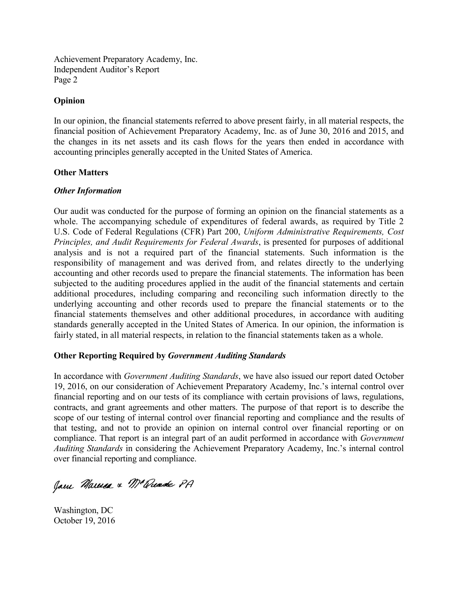Achievement Preparatory Academy, Inc. Independent Auditor's Report Page 2

# **Opinion**

In our opinion, the financial statements referred to above present fairly, in all material respects, the financial position of Achievement Preparatory Academy, Inc. as of June 30, 2016 and 2015, and the changes in its net assets and its cash flows for the years then ended in accordance with accounting principles generally accepted in the United States of America.

# **Other Matters**

# *Other Information*

Our audit was conducted for the purpose of forming an opinion on the financial statements as a whole. The accompanying schedule of expenditures of federal awards, as required by Title 2 U.S. Code of Federal Regulations (CFR) Part 200, *Uniform Administrative Requirements, Cost Principles, and Audit Requirements for Federal Awards*, is presented for purposes of additional analysis and is not a required part of the financial statements. Such information is the responsibility of management and was derived from, and relates directly to the underlying accounting and other records used to prepare the financial statements. The information has been subjected to the auditing procedures applied in the audit of the financial statements and certain additional procedures, including comparing and reconciling such information directly to the underlying accounting and other records used to prepare the financial statements or to the financial statements themselves and other additional procedures, in accordance with auditing standards generally accepted in the United States of America. In our opinion, the information is fairly stated, in all material respects, in relation to the financial statements taken as a whole.

# **Other Reporting Required by** *Government Auditing Standards*

In accordance with *Government Auditing Standards*, we have also issued our report dated October 19, 2016, on our consideration of Achievement Preparatory Academy, Inc.'s internal control over financial reporting and on our tests of its compliance with certain provisions of laws, regulations, contracts, and grant agreements and other matters. The purpose of that report is to describe the scope of our testing of internal control over financial reporting and compliance and the results of that testing, and not to provide an opinion on internal control over financial reporting or on compliance. That report is an integral part of an audit performed in accordance with *Government Auditing Standards* in considering the Achievement Preparatory Academy, Inc.'s internal control over financial reporting and compliance.

Jam Marinea & Ma Quade PA

Washington, DC October 19, 2016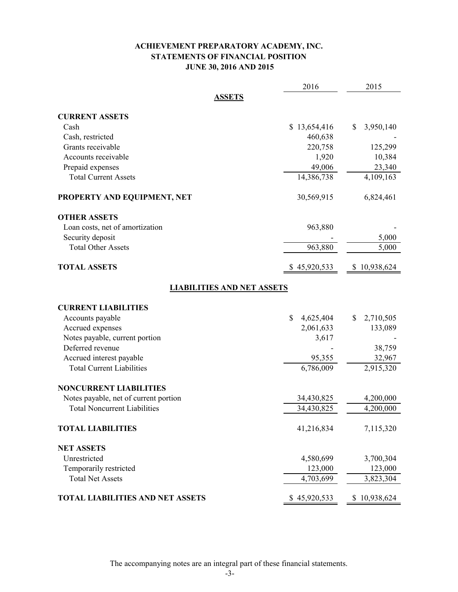# **ACHIEVEMENT PREPARATORY ACADEMY, INC. STATEMENTS OF FINANCIAL POSITION JUNE 30, 2016 AND 2015**

|                                       | 2016                      | 2015                   |
|---------------------------------------|---------------------------|------------------------|
| <b>ASSETS</b>                         |                           |                        |
| <b>CURRENT ASSETS</b>                 |                           |                        |
| Cash                                  | \$13,654,416              | 3,950,140<br>\$        |
| Cash, restricted                      | 460,638                   |                        |
| Grants receivable                     | 220,758                   | 125,299                |
| Accounts receivable                   | 1,920                     | 10,384                 |
| Prepaid expenses                      | 49,006                    | 23,340                 |
| <b>Total Current Assets</b>           | 14,386,738                | 4,109,163              |
| PROPERTY AND EQUIPMENT, NET           | 30,569,915                | 6,824,461              |
| <b>OTHER ASSETS</b>                   |                           |                        |
| Loan costs, net of amortization       | 963,880                   |                        |
| Security deposit                      |                           | 5,000                  |
| <b>Total Other Assets</b>             | 963,880                   | 5,000                  |
| <b>TOTAL ASSETS</b>                   | \$45,920,533              | \$10,938,624           |
| <b>LIABILITIES AND NET ASSETS</b>     |                           |                        |
| <b>CURRENT LIABILITIES</b>            |                           |                        |
| Accounts payable                      | $\mathbb{S}$<br>4,625,404 | 2,710,505<br>\$        |
| Accrued expenses                      | 2,061,633                 | 133,089                |
| Notes payable, current portion        | 3,617                     |                        |
| Deferred revenue                      |                           | 38,759                 |
| Accrued interest payable              | 95,355                    | 32,967                 |
| <b>Total Current Liabilities</b>      | 6,786,009                 | $\overline{2,915,320}$ |
| <b>NONCURRENT LIABILITIES</b>         |                           |                        |
| Notes payable, net of current portion | 34,430,825                | 4,200,000              |
| <b>Total Noncurrent Liabilities</b>   | 34,430,825                | 4,200,000              |
| <b>TOTAL LIABILITIES</b>              | 41,216,834                | 7,115,320              |
| <b>NET ASSETS</b>                     |                           |                        |
| Unrestricted                          | 4,580,699                 | 3,700,304              |
| Temporarily restricted                | 123,000                   | 123,000                |
| <b>Total Net Assets</b>               | 4,703,699                 | 3,823,304              |
| TOTAL LIABILITIES AND NET ASSETS      | \$45,920,533              | \$10,938,624           |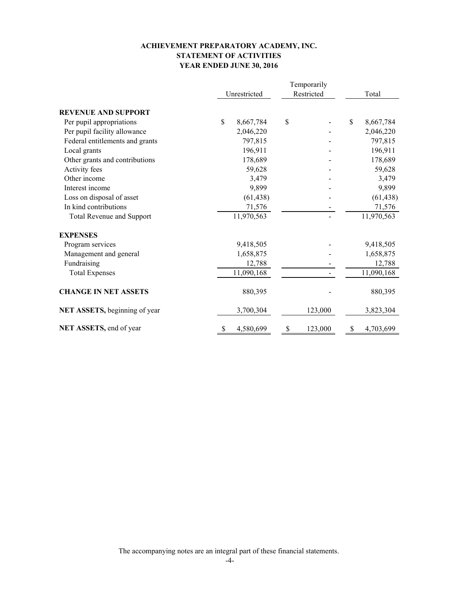# **ACHIEVEMENT PREPARATORY ACADEMY, INC. STATEMENT OF ACTIVITIES YEAR ENDED JUNE 30, 2016**

|                                  | Temporarily     |    |            |                 |
|----------------------------------|-----------------|----|------------|-----------------|
|                                  | Unrestricted    |    | Restricted | Total           |
| <b>REVENUE AND SUPPORT</b>       |                 |    |            |                 |
| Per pupil appropriations         | \$<br>8,667,784 | \$ |            | \$<br>8,667,784 |
| Per pupil facility allowance     | 2,046,220       |    |            | 2,046,220       |
| Federal entitlements and grants  | 797,815         |    |            | 797,815         |
| Local grants                     | 196,911         |    |            | 196,911         |
| Other grants and contributions   | 178,689         |    |            | 178,689         |
| Activity fees                    | 59,628          |    |            | 59,628          |
| Other income                     | 3,479           |    |            | 3,479           |
| Interest income                  | 9,899           |    |            | 9,899           |
| Loss on disposal of asset        | (61, 438)       |    |            | (61, 438)       |
| In kind contributions            | 71,576          |    |            | 71,576          |
| <b>Total Revenue and Support</b> | 11,970,563      |    |            | 11,970,563      |
| <b>EXPENSES</b>                  |                 |    |            |                 |
| Program services                 | 9,418,505       |    |            | 9,418,505       |
| Management and general           | 1,658,875       |    |            | 1,658,875       |
| Fundraising                      | 12,788          |    |            | 12,788          |
| <b>Total Expenses</b>            | 11,090,168      |    |            | 11,090,168      |
| <b>CHANGE IN NET ASSETS</b>      | 880,395         |    |            | 880,395         |
| NET ASSETS, beginning of year    | 3,700,304       |    | 123,000    | 3,823,304       |
| NET ASSETS, end of year          | \$<br>4,580,699 | \$ | 123,000    | \$<br>4,703,699 |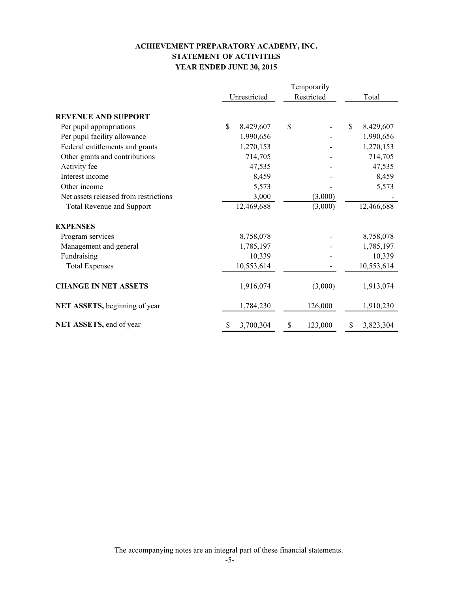# **ACHIEVEMENT PREPARATORY ACADEMY, INC. STATEMENT OF ACTIVITIES YEAR ENDED JUNE 30, 2015**

|                                       | Temporarily     |               |                           |  |
|---------------------------------------|-----------------|---------------|---------------------------|--|
|                                       | Unrestricted    | Restricted    |                           |  |
| <b>REVENUE AND SUPPORT</b>            |                 |               |                           |  |
| Per pupil appropriations              | \$<br>8,429,607 | \$            | $\mathbb{S}$<br>8,429,607 |  |
| Per pupil facility allowance          | 1,990,656       |               | 1,990,656                 |  |
| Federal entitlements and grants       | 1,270,153       |               | 1,270,153                 |  |
| Other grants and contributions        | 714,705         |               | 714,705                   |  |
| Activity fee                          | 47,535          |               | 47,535                    |  |
| Interest income                       | 8,459           |               | 8,459                     |  |
| Other income                          | 5,573           |               | 5,573                     |  |
| Net assets released from restrictions | 3,000           | (3,000)       |                           |  |
| Total Revenue and Support             | 12,469,688      | (3,000)       | 12,466,688                |  |
| <b>EXPENSES</b>                       |                 |               |                           |  |
| Program services                      | 8,758,078       |               | 8,758,078                 |  |
| Management and general                | 1,785,197       |               | 1,785,197                 |  |
| Fundraising                           | 10,339          |               | 10,339                    |  |
| <b>Total Expenses</b>                 | 10,553,614      |               | 10,553,614                |  |
| <b>CHANGE IN NET ASSETS</b>           | 1,916,074       | (3,000)       | 1,913,074                 |  |
| NET ASSETS, beginning of year         | 1,784,230       | 126,000       | 1,910,230                 |  |
| NET ASSETS, end of year               | 3,700,304<br>S  | \$<br>123,000 | 3,823,304<br>S            |  |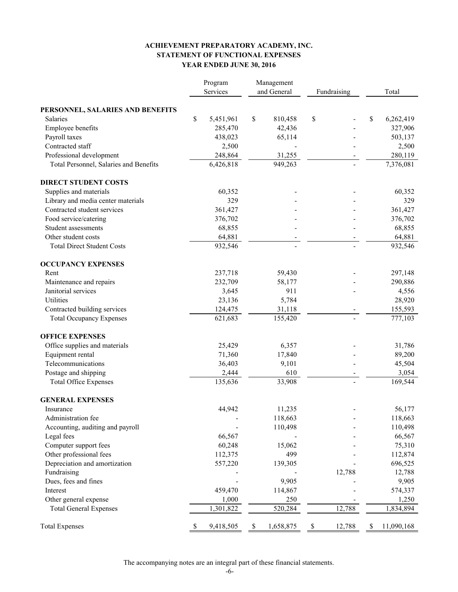#### **ACHIEVEMENT PREPARATORY ACADEMY, INC. STATEMENT OF FUNCTIONAL EXPENSES YEAR ENDED JUNE 30, 2016**

|                                        | Program<br>Management |           |                 |    |             |    |            |
|----------------------------------------|-----------------------|-----------|-----------------|----|-------------|----|------------|
|                                        |                       | Services  | and General     |    | Fundraising |    | Total      |
| PERSONNEL, SALARIES AND BENEFITS       |                       |           |                 |    |             |    |            |
| Salaries                               | \$                    | 5,451,961 | \$<br>810,458   | \$ |             | \$ | 6,262,419  |
| Employee benefits                      |                       | 285,470   | 42,436          |    |             |    | 327,906    |
| Payroll taxes                          |                       | 438,023   | 65,114          |    |             |    | 503,137    |
| Contracted staff                       |                       | 2,500     |                 |    |             |    | 2,500      |
| Professional development               |                       | 248,864   | 31,255          |    |             |    | 280,119    |
| Total Personnel, Salaries and Benefits |                       | 6,426,818 | 949,263         |    |             |    | 7,376,081  |
| <b>DIRECT STUDENT COSTS</b>            |                       |           |                 |    |             |    |            |
| Supplies and materials                 |                       | 60,352    |                 |    |             |    | 60,352     |
| Library and media center materials     |                       | 329       |                 |    |             |    | 329        |
| Contracted student services            |                       | 361,427   |                 |    |             |    | 361,427    |
| Food service/catering                  |                       | 376,702   |                 |    |             |    | 376,702    |
| Student assessments                    |                       | 68,855    |                 |    |             |    | 68,855     |
| Other student costs                    |                       | 64,881    |                 |    |             |    | 64,881     |
| <b>Total Direct Student Costs</b>      |                       | 932,546   |                 |    |             |    | 932,546    |
| <b>OCCUPANCY EXPENSES</b>              |                       |           |                 |    |             |    |            |
| Rent                                   |                       | 237,718   | 59,430          |    |             |    | 297,148    |
| Maintenance and repairs                |                       | 232,709   | 58,177          |    |             |    | 290,886    |
| Janitorial services                    |                       | 3,645     | 911             |    |             |    | 4,556      |
| Utilities                              |                       | 23,136    | 5,784           |    |             |    | 28,920     |
| Contracted building services           |                       | 124,475   | 31,118          |    |             |    | 155,593    |
| <b>Total Occupancy Expenses</b>        |                       | 621,683   | 155,420         |    |             |    | 777,103    |
| <b>OFFICE EXPENSES</b>                 |                       |           |                 |    |             |    |            |
| Office supplies and materials          |                       | 25,429    | 6,357           |    |             |    | 31,786     |
| Equipment rental                       |                       | 71,360    | 17,840          |    |             |    | 89,200     |
| Telecommunications                     |                       | 36,403    | 9,101           |    |             |    | 45,504     |
| Postage and shipping                   |                       | 2,444     | 610             |    |             |    | 3,054      |
| <b>Total Office Expenses</b>           |                       | 135,636   | 33,908          |    |             |    | 169,544    |
| <b>GENERAL EXPENSES</b>                |                       |           |                 |    |             |    |            |
| Insurance                              |                       | 44,942    | 11,235          |    |             |    | 56,177     |
| Administration fee                     |                       |           | 118,663         |    |             |    | 118,663    |
| Accounting, auditing and payroll       |                       |           | 110,498         |    |             |    | 110,498    |
| Legal fees                             |                       | 66,567    |                 |    |             |    | 66,567     |
| Computer support fees                  |                       | 60,248    | 15,062          |    |             |    | 75,310     |
| Other professional fees                |                       | 112,375   | 499             |    |             |    | 112,874    |
| Depreciation and amortization          |                       | 557,220   | 139,305         |    |             |    | 696,525    |
| Fundraising                            |                       |           |                 |    | 12,788      |    | 12,788     |
| Dues, fees and fines                   |                       |           | 9,905           |    |             |    | 9,905      |
| Interest                               |                       | 459,470   | 114,867         |    |             |    | 574,337    |
| Other general expense                  |                       | 1,000     | 250             |    |             |    | 1,250      |
| <b>Total General Expenses</b>          |                       | 1,301,822 | 520,284         |    | 12,788      |    | 1,834,894  |
| <b>Total Expenses</b>                  | \$                    | 9,418,505 | \$<br>1,658,875 | \$ | 12,788      | \$ | 11,090,168 |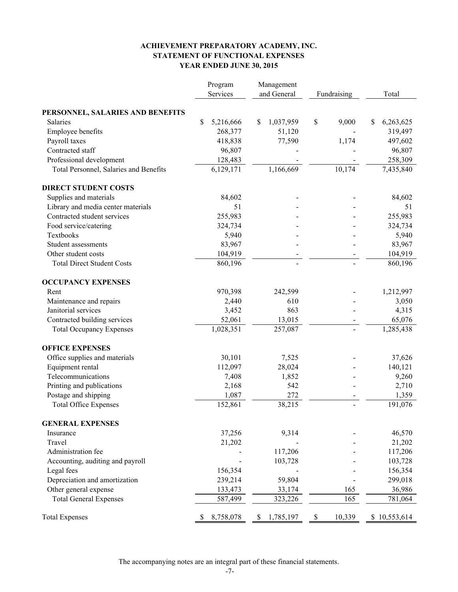### **ACHIEVEMENT PREPARATORY ACADEMY, INC. STATEMENT OF FUNCTIONAL EXPENSES YEAR ENDED JUNE 30, 2015**

|                                        | Program<br>Management |                 |              |                 |  |
|----------------------------------------|-----------------------|-----------------|--------------|-----------------|--|
|                                        | Services              | and General     | Fundraising  | Total           |  |
| PERSONNEL, SALARIES AND BENEFITS       |                       |                 |              |                 |  |
| Salaries                               | \$<br>5,216,666       | 1,037,959<br>S  | \$<br>9,000  | \$<br>6,263,625 |  |
| Employee benefits                      | 268,377               | 51,120          |              | 319,497         |  |
| Payroll taxes                          | 418,838               | 77,590          | 1,174        | 497,602         |  |
| Contracted staff                       | 96,807                |                 |              | 96,807          |  |
| Professional development               | 128,483               |                 |              | 258,309         |  |
| Total Personnel, Salaries and Benefits | 6,129,171             | 1,166,669       | 10,174       | 7,435,840       |  |
| <b>DIRECT STUDENT COSTS</b>            |                       |                 |              |                 |  |
| Supplies and materials                 | 84,602                |                 |              | 84,602          |  |
| Library and media center materials     | 51                    |                 |              | 51              |  |
| Contracted student services            | 255,983               |                 |              | 255,983         |  |
| Food service/catering                  | 324,734               |                 |              | 324,734         |  |
| Textbooks                              | 5,940                 |                 |              | 5,940           |  |
| Student assessments                    | 83,967                |                 |              | 83,967          |  |
| Other student costs                    | 104,919               |                 |              | 104,919         |  |
| <b>Total Direct Student Costs</b>      | 860,196               |                 |              | 860,196         |  |
| <b>OCCUPANCY EXPENSES</b>              |                       |                 |              |                 |  |
| Rent                                   | 970,398               | 242,599         |              | 1,212,997       |  |
| Maintenance and repairs                | 2,440                 | 610             |              | 3,050           |  |
| Janitorial services                    | 3,452                 | 863             |              | 4,315           |  |
| Contracted building services           | 52,061                | 13,015          |              | 65,076          |  |
| <b>Total Occupancy Expenses</b>        | 1,028,351             | 257,087         |              | 1,285,438       |  |
| <b>OFFICE EXPENSES</b>                 |                       |                 |              |                 |  |
| Office supplies and materials          | 30,101                | 7,525           |              | 37,626          |  |
| Equipment rental                       | 112,097               | 28,024          |              | 140,121         |  |
| Telecommunications                     | 7,408                 | 1,852           |              | 9,260           |  |
| Printing and publications              | 2,168                 | 542             |              | 2,710           |  |
| Postage and shipping                   | 1,087                 | 272             |              | 1,359           |  |
| <b>Total Office Expenses</b>           | 152,861               | 38,215          |              | 191,076         |  |
| <b>GENERAL EXPENSES</b>                |                       |                 |              |                 |  |
| Insurance                              | 37,256                | 9,314           |              | 46,570          |  |
| Travel                                 | 21,202                |                 |              | 21,202          |  |
| Administration fee                     |                       | 117,206         |              | 117,206         |  |
| Accounting, auditing and payroll       |                       | 103,728         |              | 103,728         |  |
| Legal fees                             | 156,354               |                 |              | 156,354         |  |
| Depreciation and amortization          | 239,214               | 59,804          |              | 299,018         |  |
| Other general expense                  | 133,473               | 33,174          | 165          | 36,986          |  |
| <b>Total General Expenses</b>          | 587,499               | 323,226         | 165          | 781,064         |  |
| <b>Total Expenses</b>                  | 8,758,078<br>\$       | 1,785,197<br>\$ | \$<br>10,339 | \$10,553,614    |  |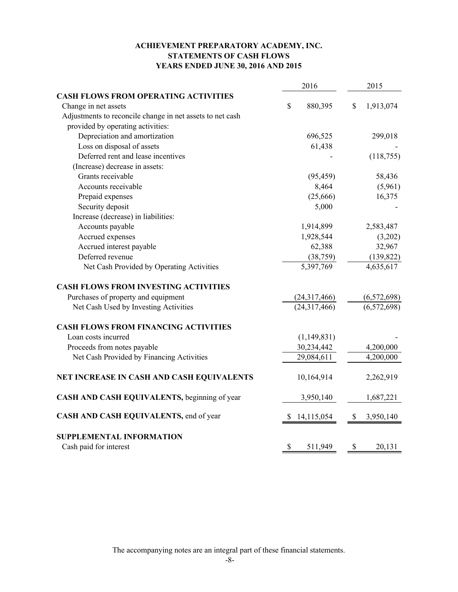# **ACHIEVEMENT PREPARATORY ACADEMY, INC. STATEMENTS OF CASH FLOWS YEARS ENDED JUNE 30, 2016 AND 2015**

|                                                           | 2016 |               | 2015 |               |
|-----------------------------------------------------------|------|---------------|------|---------------|
| <b>CASH FLOWS FROM OPERATING ACTIVITIES</b>               |      |               |      |               |
| Change in net assets                                      | \$   | 880,395       | \$   | 1,913,074     |
| Adjustments to reconcile change in net assets to net cash |      |               |      |               |
| provided by operating activities:                         |      |               |      |               |
| Depreciation and amortization                             |      | 696,525       |      | 299,018       |
| Loss on disposal of assets                                |      | 61,438        |      |               |
| Deferred rent and lease incentives                        |      |               |      | (118, 755)    |
| (Increase) decrease in assets:                            |      |               |      |               |
| Grants receivable                                         |      | (95, 459)     |      | 58,436        |
| Accounts receivable                                       |      | 8,464         |      | (5,961)       |
| Prepaid expenses                                          |      | (25,666)      |      | 16,375        |
| Security deposit                                          |      | 5,000         |      |               |
| Increase (decrease) in liabilities:                       |      |               |      |               |
| Accounts payable                                          |      | 1,914,899     |      | 2,583,487     |
| Accrued expenses                                          |      | 1,928,544     |      | (3,202)       |
| Accrued interest payable                                  |      | 62,388        |      | 32,967        |
| Deferred revenue                                          |      | (38, 759)     |      | (139, 822)    |
| Net Cash Provided by Operating Activities                 |      | 5,397,769     |      | 4,635,617     |
| <b>CASH FLOWS FROM INVESTING ACTIVITIES</b>               |      |               |      |               |
| Purchases of property and equipment                       |      | (24,317,466)  |      | (6, 572, 698) |
| Net Cash Used by Investing Activities                     |      | (24,317,466)  |      | (6,572,698)   |
| <b>CASH FLOWS FROM FINANCING ACTIVITIES</b>               |      |               |      |               |
| Loan costs incurred                                       |      | (1, 149, 831) |      |               |
| Proceeds from notes payable                               |      | 30,234,442    |      | 4,200,000     |
| Net Cash Provided by Financing Activities                 |      | 29,084,611    |      | 4,200,000     |
| NET INCREASE IN CASH AND CASH EQUIVALENTS                 |      | 10,164,914    |      | 2,262,919     |
| CASH AND CASH EQUIVALENTS, beginning of year              |      | 3,950,140     |      | 1,687,221     |
| CASH AND CASH EQUIVALENTS, end of year                    | S    | 14,115,054    | \$   | 3,950,140     |
| <b>SUPPLEMENTAL INFORMATION</b>                           |      |               |      |               |
| Cash paid for interest                                    | \$   | 511,949       | \$   | 20,131        |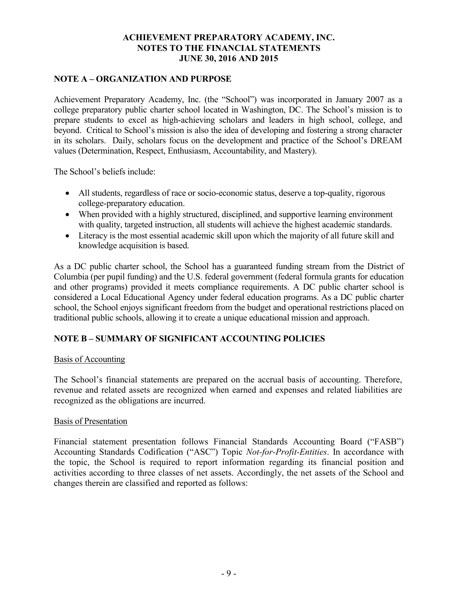# **NOTE A – ORGANIZATION AND PURPOSE**

Achievement Preparatory Academy, Inc. (the "School") was incorporated in January 2007 as a college preparatory public charter school located in Washington, DC. The School's mission is to prepare students to excel as high-achieving scholars and leaders in high school, college, and beyond. Critical to School's mission is also the idea of developing and fostering a strong character in its scholars. Daily, scholars focus on the development and practice of the School's DREAM values (Determination, Respect, Enthusiasm, Accountability, and Mastery).

The School's beliefs include:

- All students, regardless of race or socio-economic status, deserve a top-quality, rigorous college-preparatory education.
- When provided with a highly structured, disciplined, and supportive learning environment with quality, targeted instruction, all students will achieve the highest academic standards.
- Literacy is the most essential academic skill upon which the majority of all future skill and knowledge acquisition is based.

As a DC public charter school, the School has a guaranteed funding stream from the District of Columbia (per pupil funding) and the U.S. federal government (federal formula grants for education and other programs) provided it meets compliance requirements. A DC public charter school is considered a Local Educational Agency under federal education programs. As a DC public charter school, the School enjoys significant freedom from the budget and operational restrictions placed on traditional public schools, allowing it to create a unique educational mission and approach.

# **NOTE B – SUMMARY OF SIGNIFICANT ACCOUNTING POLICIES**

#### Basis of Accounting

The School's financial statements are prepared on the accrual basis of accounting. Therefore, revenue and related assets are recognized when earned and expenses and related liabilities are recognized as the obligations are incurred.

#### Basis of Presentation

Financial statement presentation follows Financial Standards Accounting Board ("FASB") Accounting Standards Codification ("ASC") Topic *Not-for-Profit-Entities*. In accordance with the topic, the School is required to report information regarding its financial position and activities according to three classes of net assets. Accordingly, the net assets of the School and changes therein are classified and reported as follows: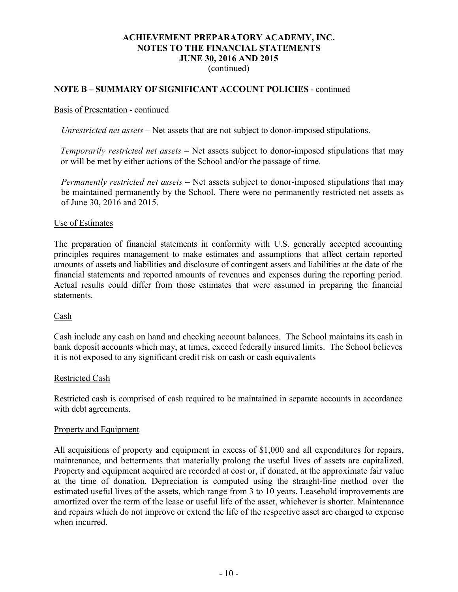# **NOTE B – SUMMARY OF SIGNIFICANT ACCOUNT POLICIES** - continued

### Basis of Presentation - continued

*Unrestricted net assets* – Net assets that are not subject to donor-imposed stipulations.

*Temporarily restricted net assets* – Net assets subject to donor-imposed stipulations that may or will be met by either actions of the School and/or the passage of time.

*Permanently restricted net assets* – Net assets subject to donor-imposed stipulations that may be maintained permanently by the School. There were no permanently restricted net assets as of June 30, 2016 and 2015.

#### Use of Estimates

The preparation of financial statements in conformity with U.S. generally accepted accounting principles requires management to make estimates and assumptions that affect certain reported amounts of assets and liabilities and disclosure of contingent assets and liabilities at the date of the financial statements and reported amounts of revenues and expenses during the reporting period. Actual results could differ from those estimates that were assumed in preparing the financial statements.

# Cash

Cash include any cash on hand and checking account balances. The School maintains its cash in bank deposit accounts which may, at times, exceed federally insured limits. The School believes it is not exposed to any significant credit risk on cash or cash equivalents

#### Restricted Cash

Restricted cash is comprised of cash required to be maintained in separate accounts in accordance with debt agreements.

#### Property and Equipment

All acquisitions of property and equipment in excess of \$1,000 and all expenditures for repairs, maintenance, and betterments that materially prolong the useful lives of assets are capitalized. Property and equipment acquired are recorded at cost or, if donated, at the approximate fair value at the time of donation. Depreciation is computed using the straight-line method over the estimated useful lives of the assets, which range from 3 to 10 years. Leasehold improvements are amortized over the term of the lease or useful life of the asset, whichever is shorter. Maintenance and repairs which do not improve or extend the life of the respective asset are charged to expense when incurred.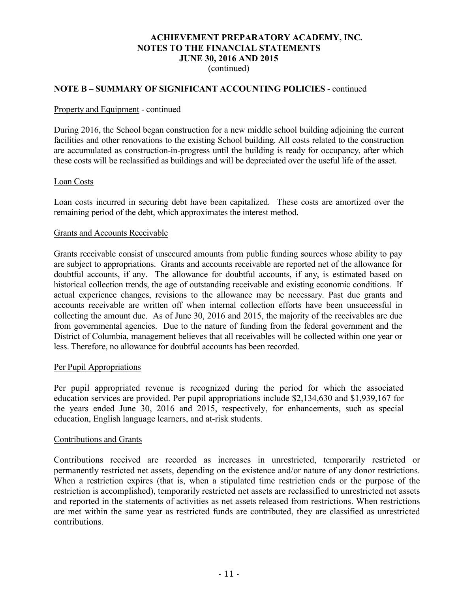### **NOTE B – SUMMARY OF SIGNIFICANT ACCOUNTING POLICIES** - continued

#### Property and Equipment - continued

During 2016, the School began construction for a new middle school building adjoining the current facilities and other renovations to the existing School building. All costs related to the construction are accumulated as construction-in-progress until the building is ready for occupancy, after which these costs will be reclassified as buildings and will be depreciated over the useful life of the asset.

#### Loan Costs

Loan costs incurred in securing debt have been capitalized. These costs are amortized over the remaining period of the debt, which approximates the interest method.

#### Grants and Accounts Receivable

Grants receivable consist of unsecured amounts from public funding sources whose ability to pay are subject to appropriations. Grants and accounts receivable are reported net of the allowance for doubtful accounts, if any. The allowance for doubtful accounts, if any, is estimated based on historical collection trends, the age of outstanding receivable and existing economic conditions. If actual experience changes, revisions to the allowance may be necessary. Past due grants and accounts receivable are written off when internal collection efforts have been unsuccessful in collecting the amount due. As of June 30, 2016 and 2015, the majority of the receivables are due from governmental agencies. Due to the nature of funding from the federal government and the District of Columbia, management believes that all receivables will be collected within one year or less. Therefore, no allowance for doubtful accounts has been recorded.

#### Per Pupil Appropriations

Per pupil appropriated revenue is recognized during the period for which the associated education services are provided. Per pupil appropriations include \$2,134,630 and \$1,939,167 for the years ended June 30, 2016 and 2015, respectively, for enhancements, such as special education, English language learners, and at-risk students.

#### Contributions and Grants

Contributions received are recorded as increases in unrestricted, temporarily restricted or permanently restricted net assets, depending on the existence and/or nature of any donor restrictions. When a restriction expires (that is, when a stipulated time restriction ends or the purpose of the restriction is accomplished), temporarily restricted net assets are reclassified to unrestricted net assets and reported in the statements of activities as net assets released from restrictions. When restrictions are met within the same year as restricted funds are contributed, they are classified as unrestricted contributions.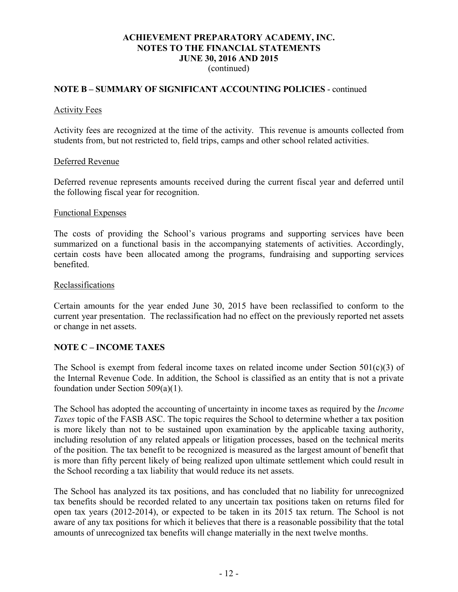### **NOTE B – SUMMARY OF SIGNIFICANT ACCOUNTING POLICIES** - continued

#### Activity Fees

Activity fees are recognized at the time of the activity. This revenue is amounts collected from students from, but not restricted to, field trips, camps and other school related activities.

#### Deferred Revenue

Deferred revenue represents amounts received during the current fiscal year and deferred until the following fiscal year for recognition.

#### Functional Expenses

The costs of providing the School's various programs and supporting services have been summarized on a functional basis in the accompanying statements of activities. Accordingly, certain costs have been allocated among the programs, fundraising and supporting services benefited.

# Reclassifications

Certain amounts for the year ended June 30, 2015 have been reclassified to conform to the current year presentation. The reclassification had no effect on the previously reported net assets or change in net assets.

# **NOTE C – INCOME TAXES**

The School is exempt from federal income taxes on related income under Section  $501(c)(3)$  of the Internal Revenue Code. In addition, the School is classified as an entity that is not a private foundation under Section 509(a)(1).

The School has adopted the accounting of uncertainty in income taxes as required by the *Income Taxes* topic of the FASB ASC. The topic requires the School to determine whether a tax position is more likely than not to be sustained upon examination by the applicable taxing authority, including resolution of any related appeals or litigation processes, based on the technical merits of the position. The tax benefit to be recognized is measured as the largest amount of benefit that is more than fifty percent likely of being realized upon ultimate settlement which could result in the School recording a tax liability that would reduce its net assets.

The School has analyzed its tax positions, and has concluded that no liability for unrecognized tax benefits should be recorded related to any uncertain tax positions taken on returns filed for open tax years (2012-2014), or expected to be taken in its 2015 tax return. The School is not aware of any tax positions for which it believes that there is a reasonable possibility that the total amounts of unrecognized tax benefits will change materially in the next twelve months.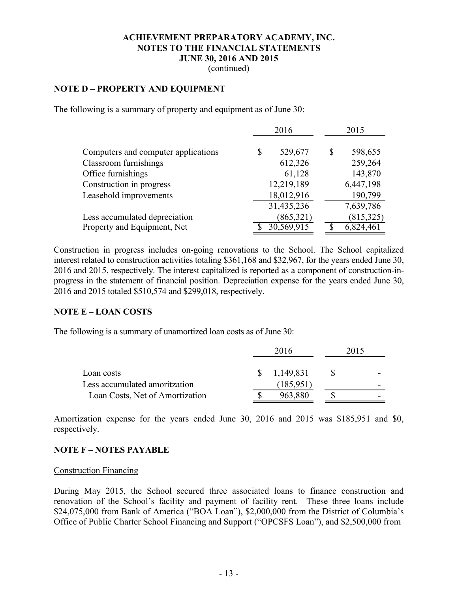(continued)

# **NOTE D – PROPERTY AND EQUIPMENT**

The following is a summary of property and equipment as of June 30:

|                                     | 2016          | 2015          |
|-------------------------------------|---------------|---------------|
| Computers and computer applications | \$<br>529,677 | \$<br>598,655 |
| Classroom furnishings               | 612,326       | 259,264       |
| Office furnishings                  | 61,128        | 143,870       |
| Construction in progress            | 12,219,189    | 6,447,198     |
| Leasehold improvements              | 18,012,916    | 190,799       |
|                                     | 31,435,236    | 7,639,786     |
| Less accumulated depreciation       | (865, 321)    | (815, 325)    |
| Property and Equipment, Net         | 30,569,915    | 6,824,461     |

Construction in progress includes on-going renovations to the School. The School capitalized interest related to construction activities totaling \$361,168 and \$32,967, for the years ended June 30, 2016 and 2015, respectively. The interest capitalized is reported as a component of construction-inprogress in the statement of financial position. Depreciation expense for the years ended June 30, 2016 and 2015 totaled \$510,574 and \$299,018, respectively.

# **NOTE E – LOAN COSTS**

The following is a summary of unamortized loan costs as of June 30:

|                                 |    | 2016       | 2015 |
|---------------------------------|----|------------|------|
| Loan costs                      | S. | 1,149,831  | -    |
| Less accumulated amoritzation   |    | (185, 951) | -    |
| Loan Costs, Net of Amortization |    | 963,880    | -    |

Amortization expense for the years ended June 30, 2016 and 2015 was \$185,951 and \$0, respectively.

#### **NOTE F – NOTES PAYABLE**

#### Construction Financing

During May 2015, the School secured three associated loans to finance construction and renovation of the School's facility and payment of facility rent. These three loans include \$24,075,000 from Bank of America ("BOA Loan"), \$2,000,000 from the District of Columbia's Office of Public Charter School Financing and Support ("OPCSFS Loan"), and \$2,500,000 from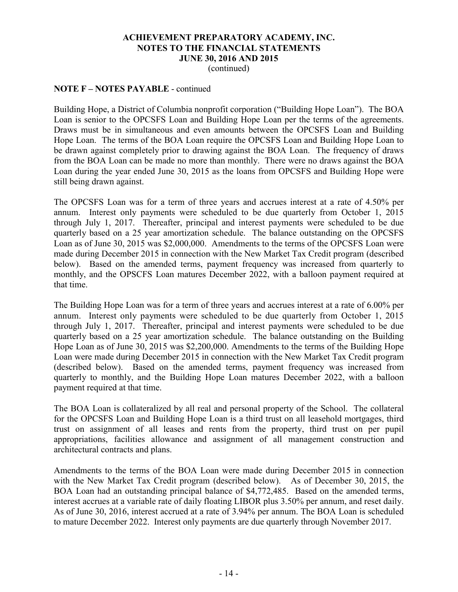(continued)

# **NOTE F – NOTES PAYABLE** - continued

Building Hope, a District of Columbia nonprofit corporation ("Building Hope Loan"). The BOA Loan is senior to the OPCSFS Loan and Building Hope Loan per the terms of the agreements. Draws must be in simultaneous and even amounts between the OPCSFS Loan and Building Hope Loan. The terms of the BOA Loan require the OPCSFS Loan and Building Hope Loan to be drawn against completely prior to drawing against the BOA Loan. The frequency of draws from the BOA Loan can be made no more than monthly. There were no draws against the BOA Loan during the year ended June 30, 2015 as the loans from OPCSFS and Building Hope were still being drawn against.

The OPCSFS Loan was for a term of three years and accrues interest at a rate of 4.50% per annum. Interest only payments were scheduled to be due quarterly from October 1, 2015 through July 1, 2017. Thereafter, principal and interest payments were scheduled to be due quarterly based on a 25 year amortization schedule. The balance outstanding on the OPCSFS Loan as of June 30, 2015 was \$2,000,000. Amendments to the terms of the OPCSFS Loan were made during December 2015 in connection with the New Market Tax Credit program (described below). Based on the amended terms, payment frequency was increased from quarterly to monthly, and the OPSCFS Loan matures December 2022, with a balloon payment required at that time.

The Building Hope Loan was for a term of three years and accrues interest at a rate of 6.00% per annum. Interest only payments were scheduled to be due quarterly from October 1, 2015 through July 1, 2017. Thereafter, principal and interest payments were scheduled to be due quarterly based on a 25 year amortization schedule. The balance outstanding on the Building Hope Loan as of June 30, 2015 was \$2,200,000. Amendments to the terms of the Building Hope Loan were made during December 2015 in connection with the New Market Tax Credit program (described below). Based on the amended terms, payment frequency was increased from quarterly to monthly, and the Building Hope Loan matures December 2022, with a balloon payment required at that time.

The BOA Loan is collateralized by all real and personal property of the School. The collateral for the OPCSFS Loan and Building Hope Loan is a third trust on all leasehold mortgages, third trust on assignment of all leases and rents from the property, third trust on per pupil appropriations, facilities allowance and assignment of all management construction and architectural contracts and plans.

Amendments to the terms of the BOA Loan were made during December 2015 in connection with the New Market Tax Credit program (described below). As of December 30, 2015, the BOA Loan had an outstanding principal balance of \$4,772,485. Based on the amended terms, interest accrues at a variable rate of daily floating LIBOR plus 3.50% per annum, and reset daily. As of June 30, 2016, interest accrued at a rate of 3.94% per annum. The BOA Loan is scheduled to mature December 2022. Interest only payments are due quarterly through November 2017.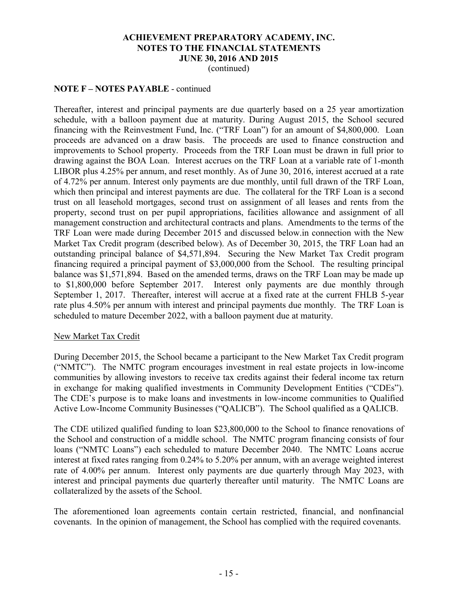(continued)

### **NOTE F – NOTES PAYABLE** - continued

Thereafter, interest and principal payments are due quarterly based on a 25 year amortization schedule, with a balloon payment due at maturity. During August 2015, the School secured financing with the Reinvestment Fund, Inc. ("TRF Loan") for an amount of \$4,800,000. Loan proceeds are advanced on a draw basis. The proceeds are used to finance construction and improvements to School property. Proceeds from the TRF Loan must be drawn in full prior to drawing against the BOA Loan. Interest accrues on the TRF Loan at a variable rate of 1-month LIBOR plus 4.25% per annum, and reset monthly. As of June 30, 2016, interest accrued at a rate of 4.72% per annum. Interest only payments are due monthly, until full drawn of the TRF Loan, which then principal and interest payments are due. The collateral for the TRF Loan is a second trust on all leasehold mortgages, second trust on assignment of all leases and rents from the property, second trust on per pupil appropriations, facilities allowance and assignment of all management construction and architectural contracts and plans. Amendments to the terms of the TRF Loan were made during December 2015 and discussed below.in connection with the New Market Tax Credit program (described below). As of December 30, 2015, the TRF Loan had an outstanding principal balance of \$4,571,894. Securing the New Market Tax Credit program financing required a principal payment of \$3,000,000 from the School. The resulting principal balance was \$1,571,894. Based on the amended terms, draws on the TRF Loan may be made up to \$1,800,000 before September 2017. Interest only payments are due monthly through September 1, 2017. Thereafter, interest will accrue at a fixed rate at the current FHLB 5-year rate plus 4.50% per annum with interest and principal payments due monthly. The TRF Loan is scheduled to mature December 2022, with a balloon payment due at maturity.

#### New Market Tax Credit

During December 2015, the School became a participant to the New Market Tax Credit program ("NMTC"). The NMTC program encourages investment in real estate projects in low-income communities by allowing investors to receive tax credits against their federal income tax return in exchange for making qualified investments in Community Development Entities ("CDEs"). The CDE's purpose is to make loans and investments in low-income communities to Qualified Active Low-Income Community Businesses ("QALICB"). The School qualified as a QALICB.

The CDE utilized qualified funding to loan \$23,800,000 to the School to finance renovations of the School and construction of a middle school. The NMTC program financing consists of four loans ("NMTC Loans") each scheduled to mature December 2040. The NMTC Loans accrue interest at fixed rates ranging from 0.24% to 5.20% per annum, with an average weighted interest rate of 4.00% per annum. Interest only payments are due quarterly through May 2023, with interest and principal payments due quarterly thereafter until maturity. The NMTC Loans are collateralized by the assets of the School.

The aforementioned loan agreements contain certain restricted, financial, and nonfinancial covenants. In the opinion of management, the School has complied with the required covenants.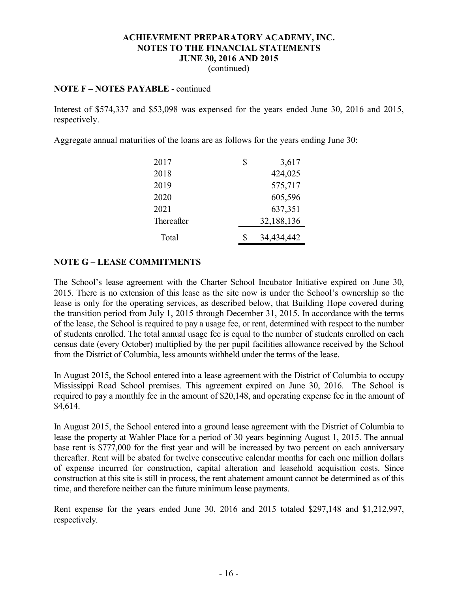# **NOTE F – NOTES PAYABLE** - continued

Interest of \$574,337 and \$53,098 was expensed for the years ended June 30, 2016 and 2015, respectively.

Aggregate annual maturities of the loans are as follows for the years ending June 30:

| 2017       | \$<br>3,617      |
|------------|------------------|
| 2018       | 424,025          |
| 2019       | 575,717          |
| 2020       | 605,596          |
| 2021       | 637,351          |
| Thereafter | 32,188,136       |
| Total      | \$<br>34,434,442 |

# **NOTE G – LEASE COMMITMENTS**

The School's lease agreement with the Charter School Incubator Initiative expired on June 30, 2015. There is no extension of this lease as the site now is under the School's ownership so the lease is only for the operating services, as described below, that Building Hope covered during the transition period from July 1, 2015 through December 31, 2015. In accordance with the terms of the lease, the School is required to pay a usage fee, or rent, determined with respect to the number of students enrolled. The total annual usage fee is equal to the number of students enrolled on each census date (every October) multiplied by the per pupil facilities allowance received by the School from the District of Columbia, less amounts withheld under the terms of the lease.

In August 2015, the School entered into a lease agreement with the District of Columbia to occupy Mississippi Road School premises. This agreement expired on June 30, 2016. The School is required to pay a monthly fee in the amount of \$20,148, and operating expense fee in the amount of \$4,614.

In August 2015, the School entered into a ground lease agreement with the District of Columbia to lease the property at Wahler Place for a period of 30 years beginning August 1, 2015. The annual base rent is \$777,000 for the first year and will be increased by two percent on each anniversary thereafter. Rent will be abated for twelve consecutive calendar months for each one million dollars of expense incurred for construction, capital alteration and leasehold acquisition costs. Since construction at this site is still in process, the rent abatement amount cannot be determined as of this time, and therefore neither can the future minimum lease payments.

Rent expense for the years ended June 30, 2016 and 2015 totaled \$297,148 and \$1,212,997, respectively.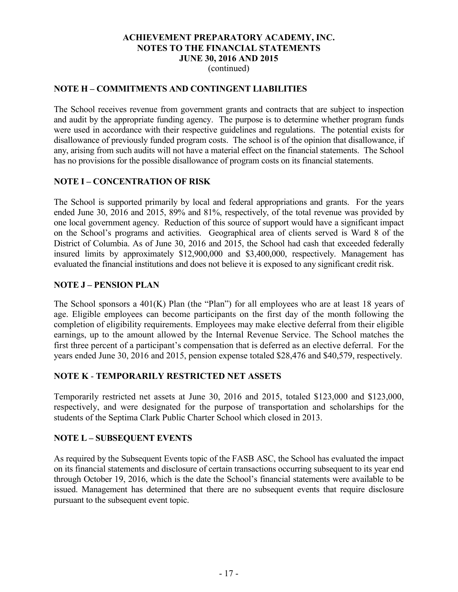(continued)

# **NOTE H – COMMITMENTS AND CONTINGENT LIABILITIES**

The School receives revenue from government grants and contracts that are subject to inspection and audit by the appropriate funding agency. The purpose is to determine whether program funds were used in accordance with their respective guidelines and regulations. The potential exists for disallowance of previously funded program costs. The school is of the opinion that disallowance, if any, arising from such audits will not have a material effect on the financial statements. The School has no provisions for the possible disallowance of program costs on its financial statements.

# **NOTE I – CONCENTRATION OF RISK**

The School is supported primarily by local and federal appropriations and grants. For the years ended June 30, 2016 and 2015, 89% and 81%, respectively, of the total revenue was provided by one local government agency. Reduction of this source of support would have a significant impact on the School's programs and activities. Geographical area of clients served is Ward 8 of the District of Columbia. As of June 30, 2016 and 2015, the School had cash that exceeded federally insured limits by approximately \$12,900,000 and \$3,400,000, respectively. Management has evaluated the financial institutions and does not believe it is exposed to any significant credit risk.

# **NOTE J – PENSION PLAN**

The School sponsors a  $401(K)$  Plan (the "Plan") for all employees who are at least 18 years of age. Eligible employees can become participants on the first day of the month following the completion of eligibility requirements. Employees may make elective deferral from their eligible earnings, up to the amount allowed by the Internal Revenue Service. The School matches the first three percent of a participant's compensation that is deferred as an elective deferral. For the years ended June 30, 2016 and 2015, pension expense totaled \$28,476 and \$40,579, respectively.

# **NOTE K** - **TEMPORARILY RESTRICTED NET ASSETS**

Temporarily restricted net assets at June 30, 2016 and 2015, totaled \$123,000 and \$123,000, respectively, and were designated for the purpose of transportation and scholarships for the students of the Septima Clark Public Charter School which closed in 2013.

# **NOTE L – SUBSEQUENT EVENTS**

As required by the Subsequent Events topic of the FASB ASC, the School has evaluated the impact on its financial statements and disclosure of certain transactions occurring subsequent to its year end through October 19, 2016, which is the date the School's financial statements were available to be issued. Management has determined that there are no subsequent events that require disclosure pursuant to the subsequent event topic.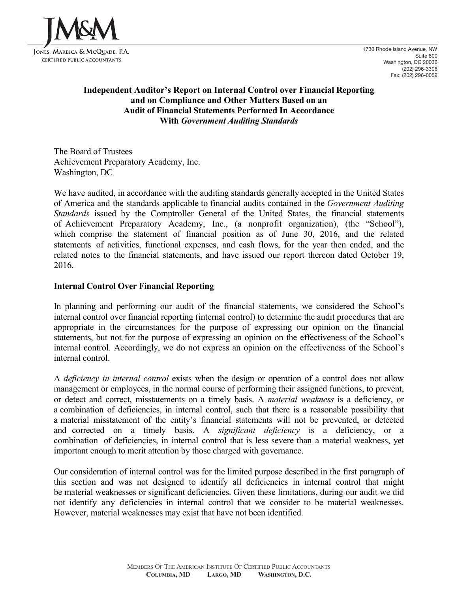

1730 Rhode Island Avenue, NW Suite 800 Washington, DC 20036 (202) 296-3306 Fax: (202) 296-0059

# **Independent Auditor's Report on Internal Control over Financial Reporting and on Compliance and Other Matters Based on an Audit of Financial Statements Performed In Accordance With** *Government Auditing Standards*

The Board of Trustees Achievement Preparatory Academy, Inc. Washington, DC

We have audited, in accordance with the auditing standards generally accepted in the United States of America and the standards applicable to financial audits contained in the *Government Auditing Standards* issued by the Comptroller General of the United States, the financial statements of Achievement Preparatory Academy, Inc., (a nonprofit organization), (the "School"), which comprise the statement of financial position as of June 30, 2016, and the related statements of activities, functional expenses, and cash flows, for the year then ended, and the related notes to the financial statements, and have issued our report thereon dated October 19, 2016.

# **Internal Control Over Financial Reporting**

In planning and performing our audit of the financial statements, we considered the School's internal control over financial reporting (internal control) to determine the audit procedures that are appropriate in the circumstances for the purpose of expressing our opinion on the financial statements, but not for the purpose of expressing an opinion on the effectiveness of the School's internal control. Accordingly, we do not express an opinion on the effectiveness of the School's internal control.

A *deficiency in internal control* exists when the design or operation of a control does not allow management or employees, in the normal course of performing their assigned functions, to prevent, or detect and correct, misstatements on a timely basis. A *material weakness* is a deficiency, or a combination of deficiencies, in internal control, such that there is a reasonable possibility that a material misstatement of the entity's financial statements will not be prevented, or detected and corrected on a timely basis. A *significant deficiency* is a deficiency, or a combination of deficiencies, in internal control that is less severe than a material weakness, yet important enough to merit attention by those charged with governance.

Our consideration of internal control was for the limited purpose described in the first paragraph of this section and was not designed to identify all deficiencies in internal control that might be material weaknesses or significant deficiencies. Given these limitations, during our audit we did not identify any deficiencies in internal control that we consider to be material weaknesses. However, material weaknesses may exist that have not been identified.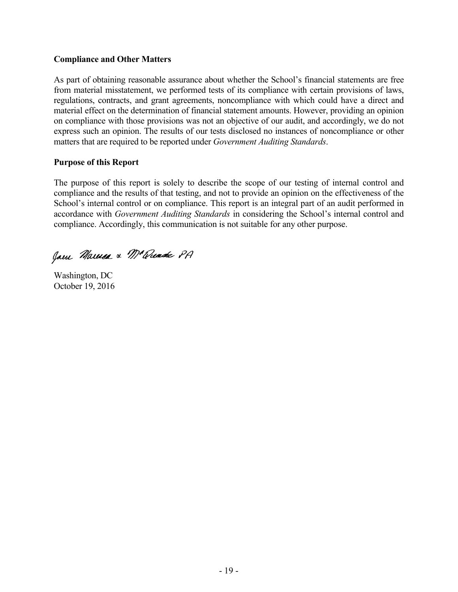# **Compliance and Other Matters**

As part of obtaining reasonable assurance about whether the School's financial statements are free from material misstatement, we performed tests of its compliance with certain provisions of laws, regulations, contracts, and grant agreements, noncompliance with which could have a direct and material effect on the determination of financial statement amounts. However, providing an opinion on compliance with those provisions was not an objective of our audit, and accordingly, we do not express such an opinion. The results of our tests disclosed no instances of noncompliance or other matters that are required to be reported under *Government Auditing Standards*.

# **Purpose of this Report**

The purpose of this report is solely to describe the scope of our testing of internal control and compliance and the results of that testing, and not to provide an opinion on the effectiveness of the School's internal control or on compliance. This report is an integral part of an audit performed in accordance with *Government Auditing Standards* in considering the School's internal control and compliance. Accordingly, this communication is not suitable for any other purpose.

Jam Marusa & Mc Quade PA

Washington, DC October 19, 2016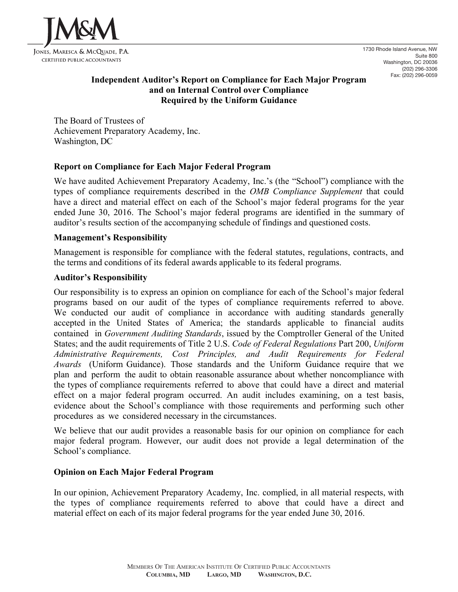

1730 Rhode Island Avenue, NW Suite 800 Washington, DC 20036 (202) 296-3306 Fax: (202) 296-0059

# **Independent Auditor's Report on Compliance for Each Major Program and on Internal Control over Compliance Required by the Uniform Guidance**

The Board of Trustees of Achievement Preparatory Academy, Inc. Washington, DC

# **Report on Compliance for Each Major Federal Program**

We have audited Achievement Preparatory Academy, Inc.'s (the "School") compliance with the types of compliance requirements described in the *OMB Compliance Supplement* that could have a direct and material effect on each of the School's major federal programs for the year ended June 30, 2016. The School's major federal programs are identified in the summary of auditor's results section of the accompanying schedule of findings and questioned costs.

# **Management's Responsibility**

Management is responsible for compliance with the federal statutes, regulations, contracts, and the terms and conditions of its federal awards applicable to its federal programs.

### **Auditor's Responsibility**

Our responsibility is to express an opinion on compliance for each of the School's major federal programs based on our audit of the types of compliance requirements referred to above. We conducted our audit of compliance in accordance with auditing standards generally accepted in the United States of America; the standards applicable to financial audits contained in *Government Auditing Standards*, issued by the Comptroller General of the United States; and the audit requirements of Title 2 U.S. *Code of Federal Regulations* Part 200, *Uniform Administrative Requirements, Cost Principles, and Audit Requirements for Federal Awards* (Uniform Guidance). Those standards and the Uniform Guidance require that we plan and perform the audit to obtain reasonable assurance about whether noncompliance with the types of compliance requirements referred to above that could have a direct and material effect on a major federal program occurred. An audit includes examining, on a test basis, evidence about the School's compliance with those requirements and performing such other procedures as we considered necessary in the circumstances.

We believe that our audit provides a reasonable basis for our opinion on compliance for each major federal program. However, our audit does not provide a legal determination of the School's compliance.

# **Opinion on Each Major Federal Program**

In our opinion, Achievement Preparatory Academy, Inc. complied, in all material respects, with the types of compliance requirements referred to above that could have a direct and material effect on each of its major federal programs for the year ended June 30, 2016.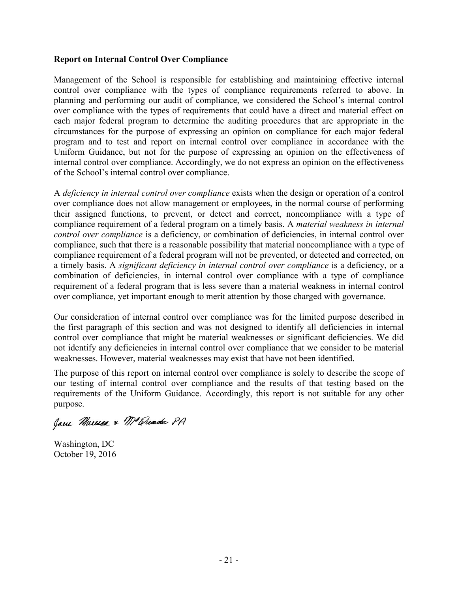# **Report on Internal Control Over Compliance**

Management of the School is responsible for establishing and maintaining effective internal control over compliance with the types of compliance requirements referred to above. In planning and performing our audit of compliance, we considered the School's internal control over compliance with the types of requirements that could have a direct and material effect on each major federal program to determine the auditing procedures that are appropriate in the circumstances for the purpose of expressing an opinion on compliance for each major federal program and to test and report on internal control over compliance in accordance with the Uniform Guidance, but not for the purpose of expressing an opinion on the effectiveness of internal control over compliance. Accordingly, we do not express an opinion on the effectiveness of the School's internal control over compliance.

A *deficiency in internal control over compliance* exists when the design or operation of a control over compliance does not allow management or employees, in the normal course of performing their assigned functions, to prevent, or detect and correct, noncompliance with a type of compliance requirement of a federal program on a timely basis. A *material weakness in internal control over compliance* is a deficiency, or combination of deficiencies, in internal control over compliance, such that there is a reasonable possibility that material noncompliance with a type of compliance requirement of a federal program will not be prevented, or detected and corrected, on a timely basis. A *significant deficiency in internal control over compliance* is a deficiency, or a combination of deficiencies, in internal control over compliance with a type of compliance requirement of a federal program that is less severe than a material weakness in internal control over compliance, yet important enough to merit attention by those charged with governance.

Our consideration of internal control over compliance was for the limited purpose described in the first paragraph of this section and was not designed to identify all deficiencies in internal control over compliance that might be material weaknesses or significant deficiencies. We did not identify any deficiencies in internal control over compliance that we consider to be material weaknesses. However, material weaknesses may exist that have not been identified.

The purpose of this report on internal control over compliance is solely to describe the scope of our testing of internal control over compliance and the results of that testing based on the requirements of the Uniform Guidance. Accordingly, this report is not suitable for any other purpose.

Jam Marie & Ma Quade PA

Washington, DC October 19, 2016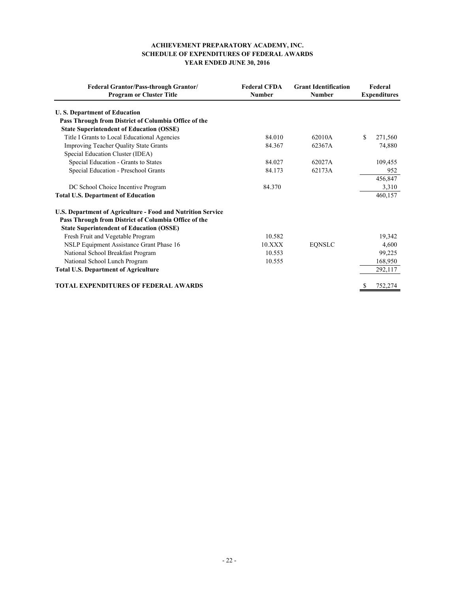#### **YEAR ENDED JUNE 30, 2016 ACHIEVEMENT PREPARATORY ACADEMY, INC. SCHEDULE OF EXPENDITURES OF FEDERAL AWARDS**

| <b>Federal Grantor/Pass-through Grantor/</b><br><b>Program or Cluster Title</b> | <b>Federal CFDA</b><br><b>Number</b> | <b>Grant Identification</b><br><b>Number</b> | Federal<br><b>Expenditures</b> |  |
|---------------------------------------------------------------------------------|--------------------------------------|----------------------------------------------|--------------------------------|--|
| <b>U.S. Department of Education</b>                                             |                                      |                                              |                                |  |
| Pass Through from District of Columbia Office of the                            |                                      |                                              |                                |  |
| <b>State Superintendent of Education (OSSE)</b>                                 |                                      |                                              |                                |  |
| Title I Grants to Local Educational Agencies                                    | 84.010                               | 62010A                                       | \$<br>271,560                  |  |
| <b>Improving Teacher Quality State Grants</b>                                   | 84.367                               | 62367A                                       | 74,880                         |  |
| Special Education Cluster (IDEA)                                                |                                      |                                              |                                |  |
| Special Education - Grants to States                                            | 84.027                               | 62027A                                       | 109,455                        |  |
| Special Education - Preschool Grants                                            | 84.173                               | 62173A                                       | 952                            |  |
|                                                                                 |                                      |                                              | 456,847                        |  |
| DC School Choice Incentive Program                                              | 84.370                               |                                              | 3,310                          |  |
| <b>Total U.S. Department of Education</b>                                       |                                      |                                              | 460,157                        |  |
| U.S. Department of Agriculture - Food and Nutrition Service                     |                                      |                                              |                                |  |
| Pass Through from District of Columbia Office of the                            |                                      |                                              |                                |  |
| <b>State Superintendent of Education (OSSE)</b>                                 |                                      |                                              |                                |  |
| Fresh Fruit and Vegetable Program                                               | 10.582                               |                                              | 19,342                         |  |
| NSLP Equipment Assistance Grant Phase 16                                        | 10.XXX                               | <b>EQNSLC</b>                                | 4,600                          |  |
| National School Breakfast Program                                               | 10.553                               |                                              | 99,225                         |  |
| National School Lunch Program                                                   | 10.555                               |                                              | 168,950                        |  |
| <b>Total U.S. Department of Agriculture</b>                                     |                                      |                                              | 292,117                        |  |
| TOTAL EXPENDITURES OF FEDERAL AWARDS                                            |                                      |                                              | 752,274<br>S                   |  |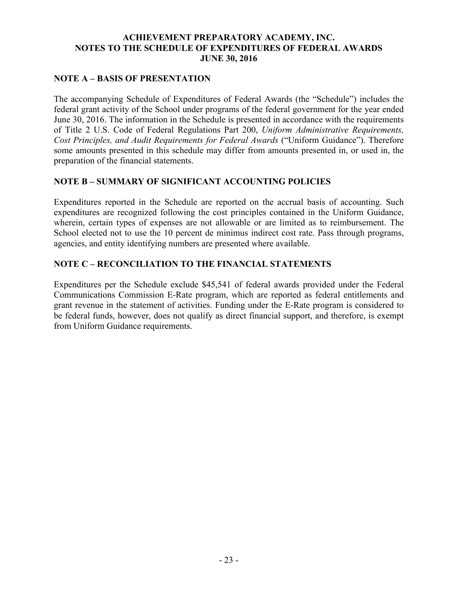# **ACHIEVEMENT PREPARATORY ACADEMY, INC. NOTES TO THE SCHEDULE OF EXPENDITURES OF FEDERAL AWARDS JUNE 30, 2016**

# **NOTE A – BASIS OF PRESENTATION**

The accompanying Schedule of Expenditures of Federal Awards (the "Schedule") includes the federal grant activity of the School under programs of the federal government for the year ended June 30, 2016. The information in the Schedule is presented in accordance with the requirements of Title 2 U.S. Code of Federal Regulations Part 200, *Uniform Administrative Requirements, Cost Principles, and Audit Requirements for Federal Awards* ("Uniform Guidance"). Therefore some amounts presented in this schedule may differ from amounts presented in, or used in, the preparation of the financial statements.

# **NOTE B – SUMMARY OF SIGNIFICANT ACCOUNTING POLICIES**

Expenditures reported in the Schedule are reported on the accrual basis of accounting. Such expenditures are recognized following the cost principles contained in the Uniform Guidance, wherein, certain types of expenses are not allowable or are limited as to reimbursement. The School elected not to use the 10 percent de minimus indirect cost rate. Pass through programs, agencies, and entity identifying numbers are presented where available.

# **NOTE C – RECONCILIATION TO THE FINANCIAL STATEMENTS**

Expenditures per the Schedule exclude \$45,541 of federal awards provided under the Federal Communications Commission E-Rate program, which are reported as federal entitlements and grant revenue in the statement of activities. Funding under the E-Rate program is considered to be federal funds, however, does not qualify as direct financial support, and therefore, is exempt from Uniform Guidance requirements.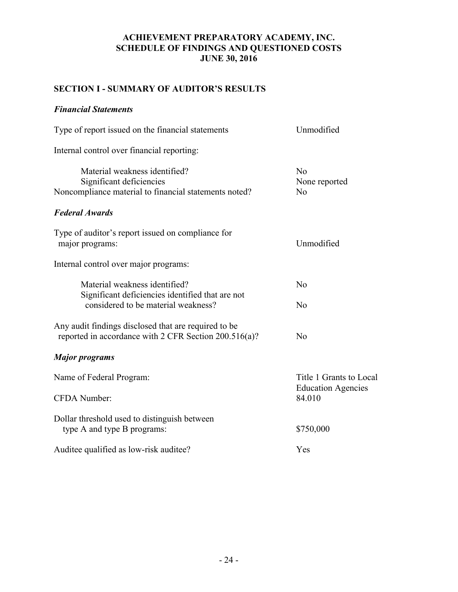# **ACHIEVEMENT PREPARATORY ACADEMY, INC. SCHEDULE OF FINDINGS AND QUESTIONED COSTS JUNE 30, 2016**

# **SECTION I - SUMMARY OF AUDITOR'S RESULTS**

# *Financial Statements*

| Type of report issued on the financial statements                                                             | Unmodified                                           |
|---------------------------------------------------------------------------------------------------------------|------------------------------------------------------|
| Internal control over financial reporting:                                                                    |                                                      |
| Material weakness identified?                                                                                 | No                                                   |
| Significant deficiencies<br>Noncompliance material to financial statements noted?                             | None reported<br>N <sub>0</sub>                      |
| <b>Federal Awards</b>                                                                                         |                                                      |
| Type of auditor's report issued on compliance for<br>major programs:                                          | Unmodified                                           |
| Internal control over major programs:                                                                         |                                                      |
| Material weakness identified?<br>Significant deficiencies identified that are not                             | No                                                   |
| considered to be material weakness?                                                                           | N <sub>0</sub>                                       |
| Any audit findings disclosed that are required to be<br>reported in accordance with 2 CFR Section 200.516(a)? | N <sub>0</sub>                                       |
| <b>Major programs</b>                                                                                         |                                                      |
| Name of Federal Program:                                                                                      | Title 1 Grants to Local<br><b>Education Agencies</b> |
| CFDA Number:                                                                                                  | 84.010                                               |
| Dollar threshold used to distinguish between<br>type A and type B programs:                                   | \$750,000                                            |
| Auditee qualified as low-risk auditee?                                                                        | Yes                                                  |